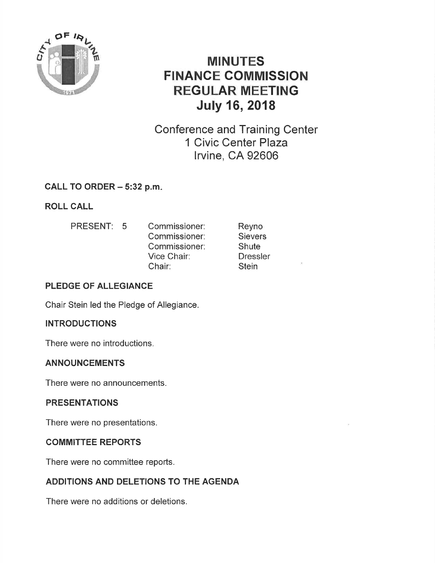

# MINUTES FINANCE COMMISSION REGULAR MEETING July 16, 2018

Conference and Training Center 1 Civic Center Plaza lrvine, CA 92606

# CALL TO ORDER  $-5:32$  p.m.

ROLL CALL

PRESENT: 5 Commissioner: Commissioner: Commissioner: Vice Chair: Chair:

Reyno **Sievers Shute Dressler Stein** 

## PLEDGE OF ALLEGIANCE

Chair Stein led the Pledge of Allegiance.

#### **INTRODUCTIONS**

There were no introductions.

#### ANNOUNCEMENTS

There were no announcements.

#### PRESENTATIONS

There were no presentations.

#### COMMITTEE REPORTS

There were no committee reports.

# ADDITIONS AND DELETIONS TO THE AGENDA

There were no additions or deletions.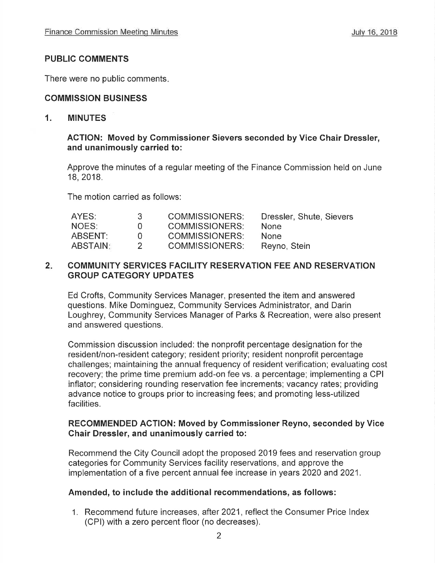## PUBLIC COMMENTS

There were no public comments

## COMMISSION BUSINESS

#### 1. MINUTES

#### ACTION: Moved by Commissioner Sievers seconded by Vice Chair Dressler, and unanimously carried to:

Approve the minutes of a regular meeting of the Finance Commission held on June 18,2018.

The motion carried as follows:

| AYES:    | 3.           | COMMISSIONERS:        | Dressler, Shute, Sievers |
|----------|--------------|-----------------------|--------------------------|
| NOES:    | $\mathbf{U}$ | <b>COMMISSIONERS:</b> | <b>None</b>              |
| ABSENT:  | <b>U</b>     | <b>COMMISSIONERS:</b> | None.                    |
| ABSTAIN: |              | <b>COMMISSIONERS:</b> | Reyno, Stein             |

#### 2. COMMUNITY SERVICES FACILITY RESERVATION FEE AND RESERVATION GROUP CATEGORY UPDATES

Ed Crofts, Community Services Manager, presented the item and answered questions. Mike Dominguez, Community Services Administrator, and Darin Loughrey, Community Services Manager of Parks & Recreation, were also present and answered questions.

Commission discussion included: the nonprofit percentage designation for the resident/non-resident category; resident priority; resident nonprofit percentage challenges; maintaining the annual frequency of resident verification; evaluating cost recovery; the prime time premium add-on fee vs. a percentage; implementing a CPI inflator; considering rounding reservation fee increments; vacancy rates; providing advance notice to groups prior to increasing fees; and promoting less-utilized facilities.

#### RECOMMENDED ACTION: Moved by Commissioner Reyno, seconded by Vice Ghair Dressler, and unanimously carried to:

Recommend the City Council adopt the proposed 2019 fees and reservation group categories for Community Services facility reservations, and approve the implementation of a five percent annual fee increase in years 2020 and 2021.

#### Amended, to include the additional recommendations, as follows:

1. Recommend future increases, after 2021, reflect the Consumer Price lndex (CPl) with a zero percent floor (no decreases).